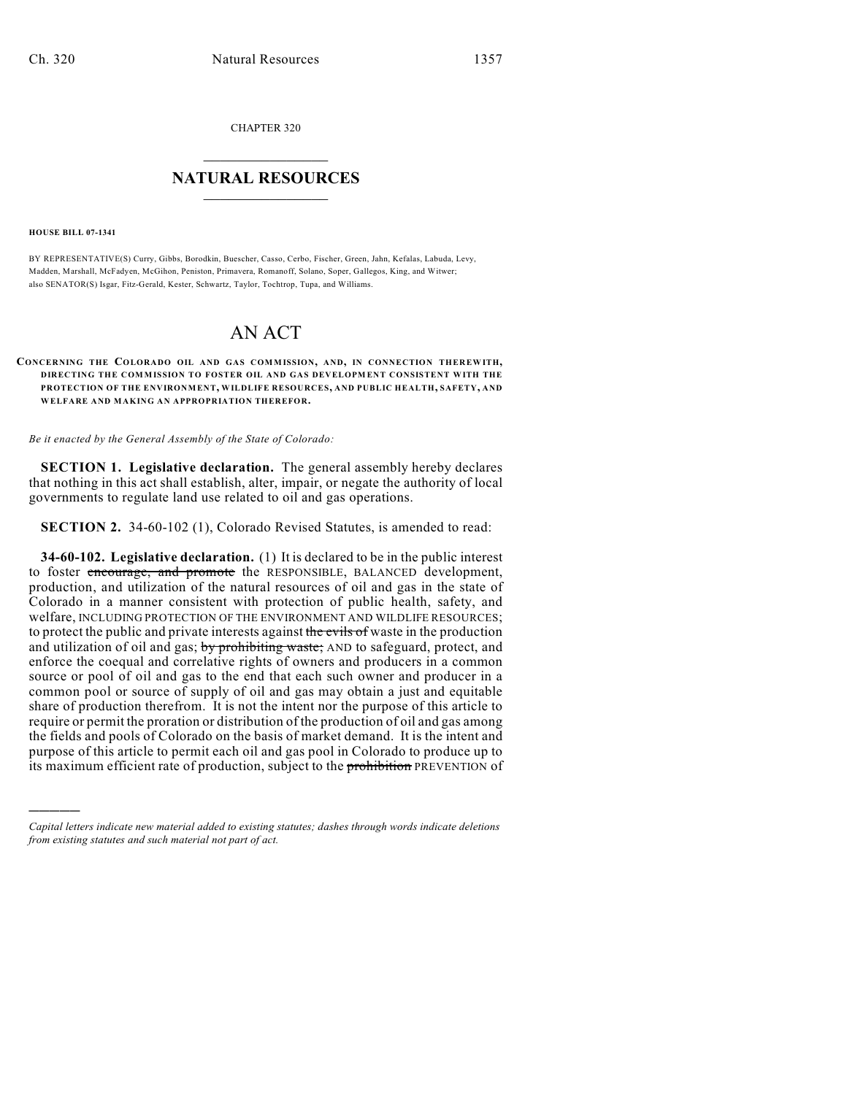CHAPTER 320

## $\overline{\phantom{a}}$  . The set of the set of the set of the set of the set of the set of the set of the set of the set of the set of the set of the set of the set of the set of the set of the set of the set of the set of the set o **NATURAL RESOURCES**  $\frac{1}{\sqrt{2}}$  , where  $\frac{1}{\sqrt{2}}$  ,  $\frac{1}{\sqrt{2}}$  ,  $\frac{1}{\sqrt{2}}$

**HOUSE BILL 07-1341**

)))))

BY REPRESENTATIVE(S) Curry, Gibbs, Borodkin, Buescher, Casso, Cerbo, Fischer, Green, Jahn, Kefalas, Labuda, Levy, Madden, Marshall, McFadyen, McGihon, Peniston, Primavera, Romanoff, Solano, Soper, Gallegos, King, and Witwer; also SENATOR(S) Isgar, Fitz-Gerald, Kester, Schwartz, Taylor, Tochtrop, Tupa, and Williams.

## AN ACT

## **CONCERNING THE COLORADO OIL AND GAS COMMISSION, AND, IN CONNECTION THEREW ITH, DIRECTING THE COMMISSION TO FOSTER OIL AND GAS DEVELOPMENT CONSISTENT WITH THE PROTECTION OF THE ENVIRONMENT, WILDLIFE RESOURCES, AND PUBLIC HEALTH, SAFETY, AND WELFARE AND MAKING AN APPROPRIATION THEREFOR.**

*Be it enacted by the General Assembly of the State of Colorado:*

**SECTION 1. Legislative declaration.** The general assembly hereby declares that nothing in this act shall establish, alter, impair, or negate the authority of local governments to regulate land use related to oil and gas operations.

**SECTION 2.** 34-60-102 (1), Colorado Revised Statutes, is amended to read:

**34-60-102. Legislative declaration.** (1) It is declared to be in the public interest to foster encourage, and promote the RESPONSIBLE, BALANCED development, production, and utilization of the natural resources of oil and gas in the state of Colorado in a manner consistent with protection of public health, safety, and welfare, INCLUDING PROTECTION OF THE ENVIRONMENT AND WILDLIFE RESOURCES; to protect the public and private interests against the evils of waste in the production and utilization of oil and gas; by prohibiting waste; AND to safeguard, protect, and enforce the coequal and correlative rights of owners and producers in a common source or pool of oil and gas to the end that each such owner and producer in a common pool or source of supply of oil and gas may obtain a just and equitable share of production therefrom. It is not the intent nor the purpose of this article to require or permit the proration or distribution of the production of oil and gas among the fields and pools of Colorado on the basis of market demand. It is the intent and purpose of this article to permit each oil and gas pool in Colorado to produce up to its maximum efficient rate of production, subject to the prohibition PREVENTION of

*Capital letters indicate new material added to existing statutes; dashes through words indicate deletions from existing statutes and such material not part of act.*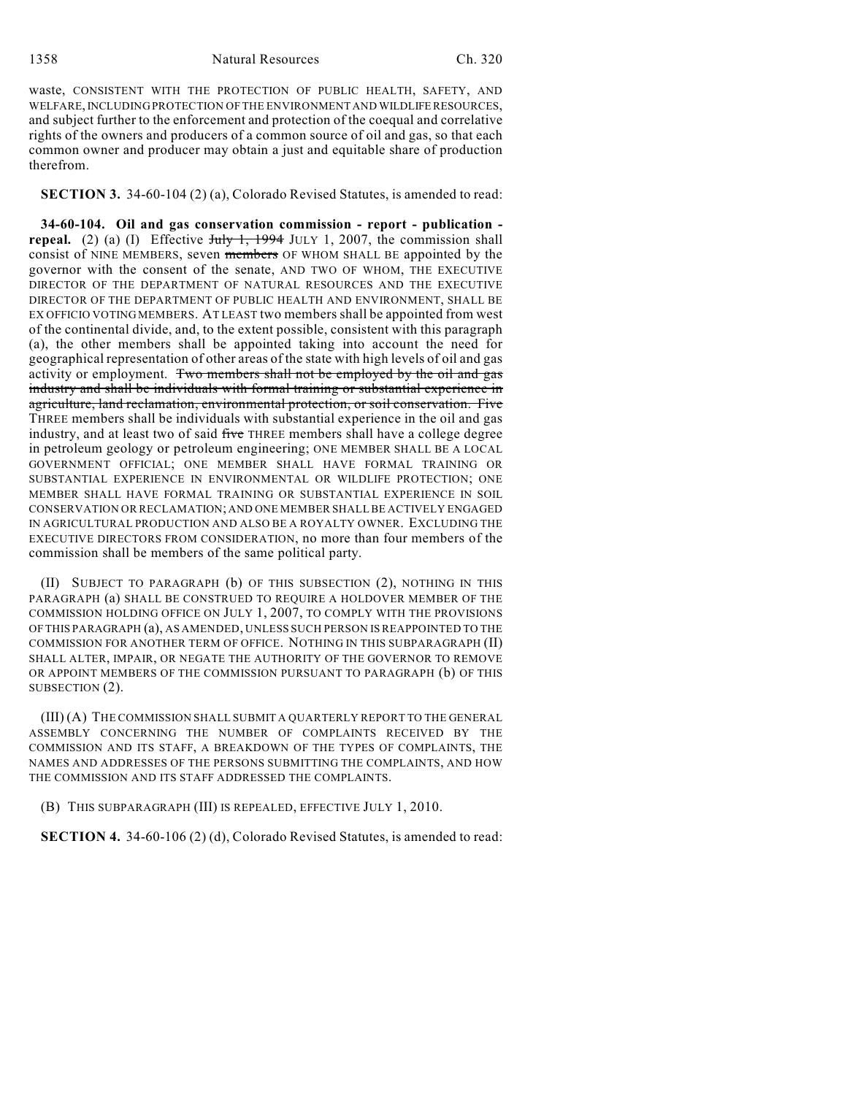waste, CONSISTENT WITH THE PROTECTION OF PUBLIC HEALTH, SAFETY, AND WELFARE, INCLUDING PROTECTION OF THE ENVIRONMENT AND WILDLIFE RESOURCES, and subject further to the enforcement and protection of the coequal and correlative rights of the owners and producers of a common source of oil and gas, so that each common owner and producer may obtain a just and equitable share of production therefrom.

**SECTION 3.** 34-60-104 (2) (a), Colorado Revised Statutes, is amended to read:

**34-60-104. Oil and gas conservation commission - report - publication repeal.** (2) (a) (I) Effective  $\frac{\text{July } 1, 1994 \text{ JULY } 1, 2007, \text{ the commission shall}}{\text{[1]}$ consist of NINE MEMBERS, seven members OF WHOM SHALL BE appointed by the governor with the consent of the senate, AND TWO OF WHOM, THE EXECUTIVE DIRECTOR OF THE DEPARTMENT OF NATURAL RESOURCES AND THE EXECUTIVE DIRECTOR OF THE DEPARTMENT OF PUBLIC HEALTH AND ENVIRONMENT, SHALL BE EX OFFICIO VOTING MEMBERS. AT LEAST two members shall be appointed from west of the continental divide, and, to the extent possible, consistent with this paragraph (a), the other members shall be appointed taking into account the need for geographical representation of other areas of the state with high levels of oil and gas activity or employment. Two members shall not be employed by the oil and gas industry and shall be individuals with formal training or substantial experience in agriculture, land reclamation, environmental protection, or soil conservation. Five THREE members shall be individuals with substantial experience in the oil and gas industry, and at least two of said five THREE members shall have a college degree in petroleum geology or petroleum engineering; ONE MEMBER SHALL BE A LOCAL GOVERNMENT OFFICIAL; ONE MEMBER SHALL HAVE FORMAL TRAINING OR SUBSTANTIAL EXPERIENCE IN ENVIRONMENTAL OR WILDLIFE PROTECTION; ONE MEMBER SHALL HAVE FORMAL TRAINING OR SUBSTANTIAL EXPERIENCE IN SOIL CONSERVATION OR RECLAMATION; AND ONE MEMBER SHALL BE ACTIVELY ENGAGED IN AGRICULTURAL PRODUCTION AND ALSO BE A ROYALTY OWNER. EXCLUDING THE EXECUTIVE DIRECTORS FROM CONSIDERATION, no more than four members of the commission shall be members of the same political party.

(II) SUBJECT TO PARAGRAPH (b) OF THIS SUBSECTION (2), NOTHING IN THIS PARAGRAPH (a) SHALL BE CONSTRUED TO REQUIRE A HOLDOVER MEMBER OF THE COMMISSION HOLDING OFFICE ON JULY 1, 2007, TO COMPLY WITH THE PROVISIONS OF THIS PARAGRAPH (a), AS AMENDED, UNLESS SUCH PERSON IS REAPPOINTED TO THE COMMISSION FOR ANOTHER TERM OF OFFICE. NOTHING IN THIS SUBPARAGRAPH (II) SHALL ALTER, IMPAIR, OR NEGATE THE AUTHORITY OF THE GOVERNOR TO REMOVE OR APPOINT MEMBERS OF THE COMMISSION PURSUANT TO PARAGRAPH (b) OF THIS SUBSECTION (2).

(III) (A) THE COMMISSION SHALL SUBMIT A QUARTERLY REPORT TO THE GENERAL ASSEMBLY CONCERNING THE NUMBER OF COMPLAINTS RECEIVED BY THE COMMISSION AND ITS STAFF, A BREAKDOWN OF THE TYPES OF COMPLAINTS, THE NAMES AND ADDRESSES OF THE PERSONS SUBMITTING THE COMPLAINTS, AND HOW THE COMMISSION AND ITS STAFF ADDRESSED THE COMPLAINTS.

(B) THIS SUBPARAGRAPH (III) IS REPEALED, EFFECTIVE JULY 1, 2010.

**SECTION 4.** 34-60-106 (2) (d), Colorado Revised Statutes, is amended to read: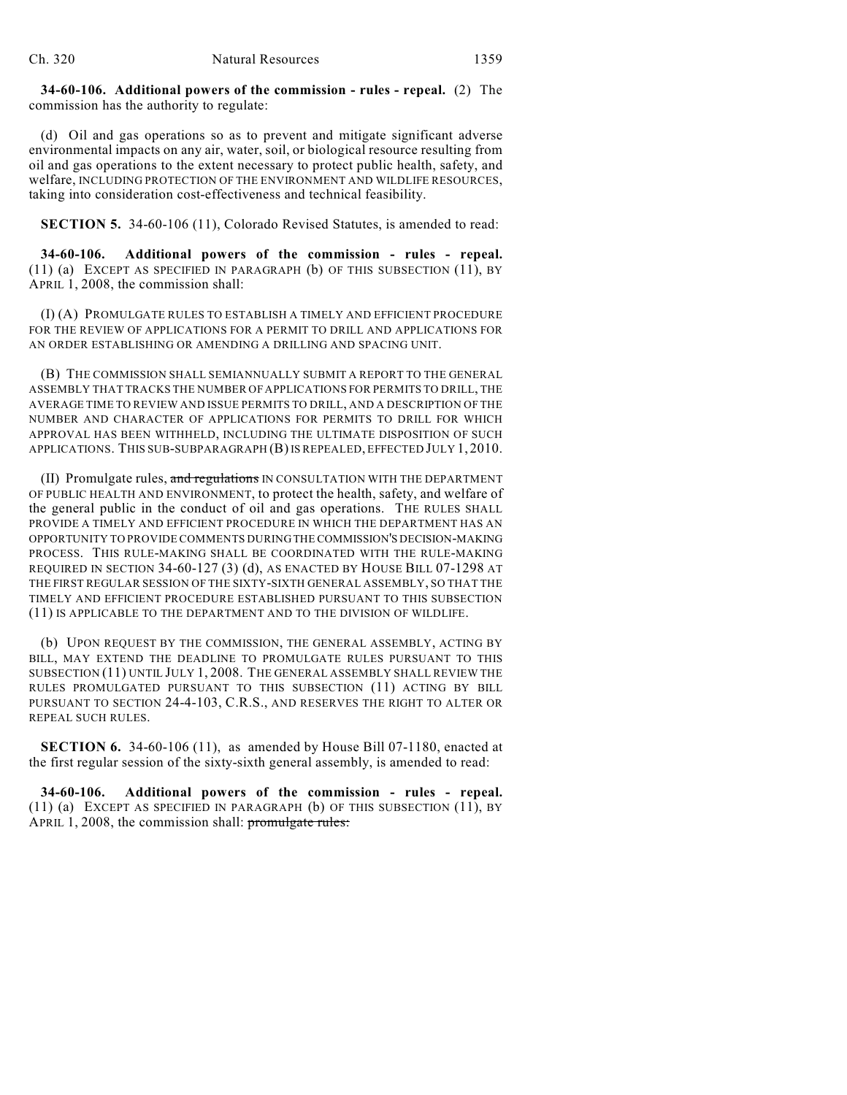**34-60-106. Additional powers of the commission - rules - repeal.** (2) The commission has the authority to regulate:

(d) Oil and gas operations so as to prevent and mitigate significant adverse environmental impacts on any air, water, soil, or biological resource resulting from oil and gas operations to the extent necessary to protect public health, safety, and welfare, INCLUDING PROTECTION OF THE ENVIRONMENT AND WILDLIFE RESOURCES, taking into consideration cost-effectiveness and technical feasibility.

**SECTION 5.** 34-60-106 (11), Colorado Revised Statutes, is amended to read:

**34-60-106. Additional powers of the commission - rules - repeal.** (11) (a) EXCEPT AS SPECIFIED IN PARAGRAPH (b) OF THIS SUBSECTION (11), BY APRIL 1, 2008, the commission shall:

(I) (A) PROMULGATE RULES TO ESTABLISH A TIMELY AND EFFICIENT PROCEDURE FOR THE REVIEW OF APPLICATIONS FOR A PERMIT TO DRILL AND APPLICATIONS FOR AN ORDER ESTABLISHING OR AMENDING A DRILLING AND SPACING UNIT.

(B) THE COMMISSION SHALL SEMIANNUALLY SUBMIT A REPORT TO THE GENERAL ASSEMBLY THAT TRACKS THE NUMBER OF APPLICATIONS FOR PERMITS TO DRILL, THE AVERAGE TIME TO REVIEW AND ISSUE PERMITS TO DRILL, AND A DESCRIPTION OF THE NUMBER AND CHARACTER OF APPLICATIONS FOR PERMITS TO DRILL FOR WHICH APPROVAL HAS BEEN WITHHELD, INCLUDING THE ULTIMATE DISPOSITION OF SUCH APPLICATIONS. THIS SUB-SUBPARAGRAPH (B)IS REPEALED, EFFECTED JULY 1, 2010.

(II) Promulgate rules, and regulations IN CONSULTATION WITH THE DEPARTMENT OF PUBLIC HEALTH AND ENVIRONMENT, to protect the health, safety, and welfare of the general public in the conduct of oil and gas operations. THE RULES SHALL PROVIDE A TIMELY AND EFFICIENT PROCEDURE IN WHICH THE DEPARTMENT HAS AN OPPORTUNITY TO PROVIDE COMMENTS DURING THE COMMISSION'S DECISION-MAKING PROCESS. THIS RULE-MAKING SHALL BE COORDINATED WITH THE RULE-MAKING REQUIRED IN SECTION 34-60-127 (3) (d), AS ENACTED BY HOUSE BILL 07-1298 AT THE FIRST REGULAR SESSION OF THE SIXTY-SIXTH GENERAL ASSEMBLY, SO THAT THE TIMELY AND EFFICIENT PROCEDURE ESTABLISHED PURSUANT TO THIS SUBSECTION (11) IS APPLICABLE TO THE DEPARTMENT AND TO THE DIVISION OF WILDLIFE.

(b) UPON REQUEST BY THE COMMISSION, THE GENERAL ASSEMBLY, ACTING BY BILL, MAY EXTEND THE DEADLINE TO PROMULGATE RULES PURSUANT TO THIS SUBSECTION (11) UNTIL JULY 1, 2008. THE GENERAL ASSEMBLY SHALL REVIEW THE RULES PROMULGATED PURSUANT TO THIS SUBSECTION (11) ACTING BY BILL PURSUANT TO SECTION 24-4-103, C.R.S., AND RESERVES THE RIGHT TO ALTER OR REPEAL SUCH RULES.

**SECTION 6.** 34-60-106 (11), as amended by House Bill 07-1180, enacted at the first regular session of the sixty-sixth general assembly, is amended to read:

**34-60-106. Additional powers of the commission - rules - repeal.** (11) (a) EXCEPT AS SPECIFIED IN PARAGRAPH (b) OF THIS SUBSECTION (11), BY APRIL 1, 2008, the commission shall: promulgate rules: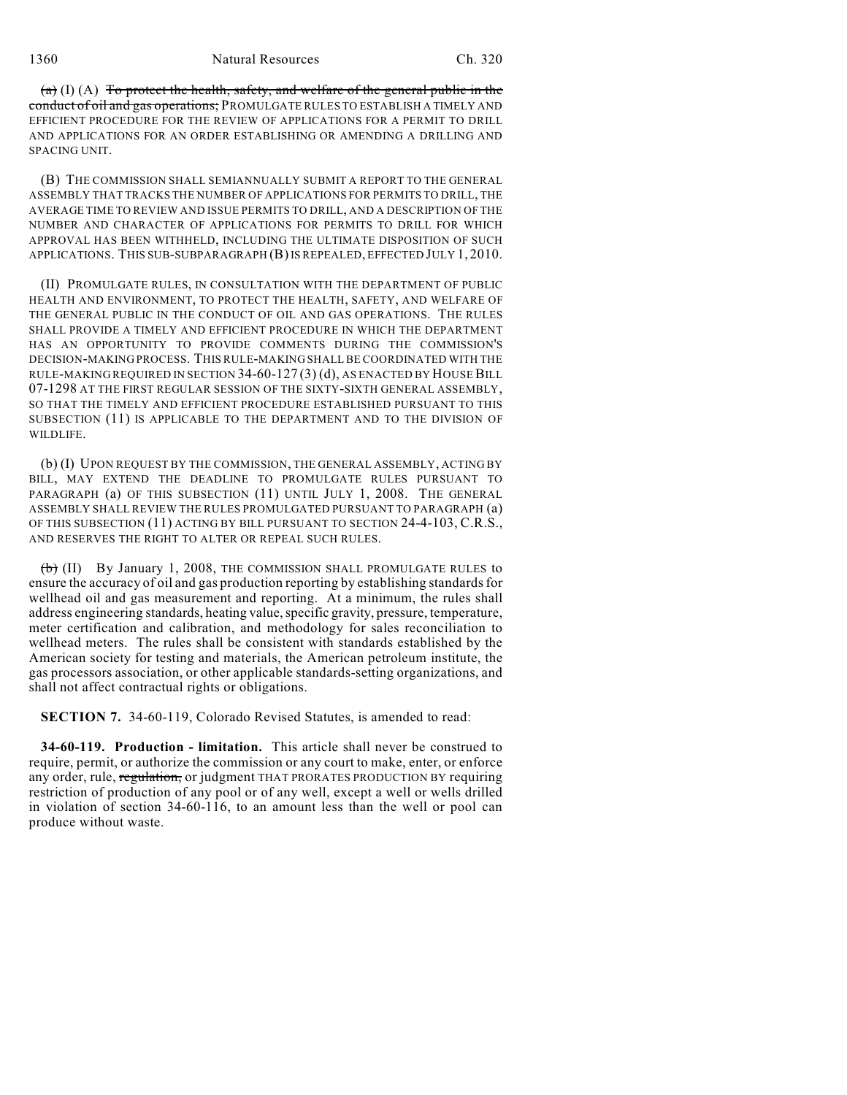(a) (I) (A) To protect the health, safety, and welfare of the general public in the conduct of oil and gas operations; PROMULGATE RULES TO ESTABLISH A TIMELY AND EFFICIENT PROCEDURE FOR THE REVIEW OF APPLICATIONS FOR A PERMIT TO DRILL AND APPLICATIONS FOR AN ORDER ESTABLISHING OR AMENDING A DRILLING AND SPACING UNIT.

(B) THE COMMISSION SHALL SEMIANNUALLY SUBMIT A REPORT TO THE GENERAL ASSEMBLY THAT TRACKS THE NUMBER OF APPLICATIONS FOR PERMITS TO DRILL, THE AVERAGE TIME TO REVIEW AND ISSUE PERMITS TO DRILL, AND A DESCRIPTION OF THE NUMBER AND CHARACTER OF APPLICATIONS FOR PERMITS TO DRILL FOR WHICH APPROVAL HAS BEEN WITHHELD, INCLUDING THE ULTIMATE DISPOSITION OF SUCH APPLICATIONS. THIS SUB-SUBPARAGRAPH (B)IS REPEALED, EFFECTED JULY 1, 2010.

(II) PROMULGATE RULES, IN CONSULTATION WITH THE DEPARTMENT OF PUBLIC HEALTH AND ENVIRONMENT, TO PROTECT THE HEALTH, SAFETY, AND WELFARE OF THE GENERAL PUBLIC IN THE CONDUCT OF OIL AND GAS OPERATIONS. THE RULES SHALL PROVIDE A TIMELY AND EFFICIENT PROCEDURE IN WHICH THE DEPARTMENT HAS AN OPPORTUNITY TO PROVIDE COMMENTS DURING THE COMMISSION'S DECISION-MAKING PROCESS. THIS RULE-MAKING SHALL BE COORDINATED WITH THE RULE-MAKING REQUIRED IN SECTION 34-60-127 (3) (d), AS ENACTED BY HOUSE BILL 07-1298 AT THE FIRST REGULAR SESSION OF THE SIXTY-SIXTH GENERAL ASSEMBLY, SO THAT THE TIMELY AND EFFICIENT PROCEDURE ESTABLISHED PURSUANT TO THIS SUBSECTION (11) IS APPLICABLE TO THE DEPARTMENT AND TO THE DIVISION OF WILDLIFE.

(b) (I) UPON REQUEST BY THE COMMISSION, THE GENERAL ASSEMBLY, ACTING BY BILL, MAY EXTEND THE DEADLINE TO PROMULGATE RULES PURSUANT TO PARAGRAPH (a) OF THIS SUBSECTION (11) UNTIL JULY 1, 2008. THE GENERAL ASSEMBLY SHALL REVIEW THE RULES PROMULGATED PURSUANT TO PARAGRAPH (a) OF THIS SUBSECTION (11) ACTING BY BILL PURSUANT TO SECTION 24-4-103, C.R.S., AND RESERVES THE RIGHT TO ALTER OR REPEAL SUCH RULES.

 $(b)$  (II) By January 1, 2008, THE COMMISSION SHALL PROMULGATE RULES to ensure the accuracy of oil and gas production reporting by establishing standards for wellhead oil and gas measurement and reporting. At a minimum, the rules shall address engineering standards, heating value, specific gravity, pressure, temperature, meter certification and calibration, and methodology for sales reconciliation to wellhead meters. The rules shall be consistent with standards established by the American society for testing and materials, the American petroleum institute, the gas processors association, or other applicable standards-setting organizations, and shall not affect contractual rights or obligations.

**SECTION 7.** 34-60-119, Colorado Revised Statutes, is amended to read:

**34-60-119. Production - limitation.** This article shall never be construed to require, permit, or authorize the commission or any court to make, enter, or enforce any order, rule, regulation, or judgment THAT PRORATES PRODUCTION BY requiring restriction of production of any pool or of any well, except a well or wells drilled in violation of section 34-60-116, to an amount less than the well or pool can produce without waste.